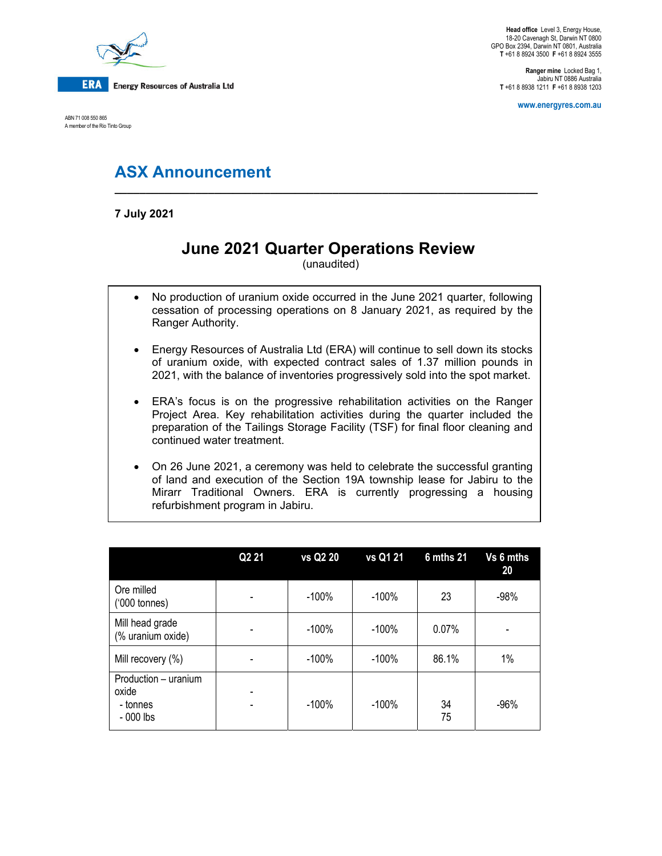

ABN 71 008 550 865 A member of the Rio Tinto Group

**Head office** Level 3, Energy House, 18-20 Cavenagh St, Darwin NT 0800 GPO Box 2394, Darwin NT 0801, Australia **T** +61 8 8924 3500 **F** +61 8 8924 3555

**Ranger mine** Locked Bag 1, Jabiru NT 0886 Australia **T** +61 8 8938 1211 **F** +61 8 8938 1203

**www.energyres.com.au** 

## **ASX Announcement \_\_\_\_\_\_\_\_\_\_\_\_\_\_\_\_\_\_\_\_\_\_\_\_\_\_\_\_\_\_\_\_\_\_\_\_\_\_\_\_\_\_\_\_\_\_\_\_\_\_\_\_\_\_\_\_\_\_\_\_\_\_\_\_\_\_\_\_**

**7 July 2021** 

# **June 2021 Quarter Operations Review**

(unaudited)

- No production of uranium oxide occurred in the June 2021 quarter, following cessation of processing operations on 8 January 2021, as required by the Ranger Authority.
- Energy Resources of Australia Ltd (ERA) will continue to sell down its stocks of uranium oxide, with expected contract sales of 1.37 million pounds in 2021, with the balance of inventories progressively sold into the spot market.
- ERA's focus is on the progressive rehabilitation activities on the Ranger Project Area. Key rehabilitation activities during the quarter included the preparation of the Tailings Storage Facility (TSF) for final floor cleaning and continued water treatment.
- On 26 June 2021, a ceremony was held to celebrate the successful granting of land and execution of the Section 19A township lease for Jabiru to the Mirarr Traditional Owners. ERA is currently progressing a housing refurbishment program in Jabiru.

|                                                        | Q <sub>2</sub> 21 | vs Q2 20 | vs Q1 21 | <b>6 mths 21</b> | Vs 6 mths<br>20 |
|--------------------------------------------------------|-------------------|----------|----------|------------------|-----------------|
| Ore milled<br>$(000 \text{ tonnes})$                   |                   | $-100%$  | $-100%$  | 23               | $-98%$          |
| Mill head grade<br>(% uranium oxide)                   |                   | $-100%$  | $-100%$  | 0.07%            |                 |
| Mill recovery (%)                                      |                   | $-100%$  | $-100\%$ | 86.1%            | 1%              |
| Production - uranium<br>oxide<br>- tonnes<br>- 000 lbs |                   | $-100%$  | $-100%$  | 34<br>75         | $-96%$          |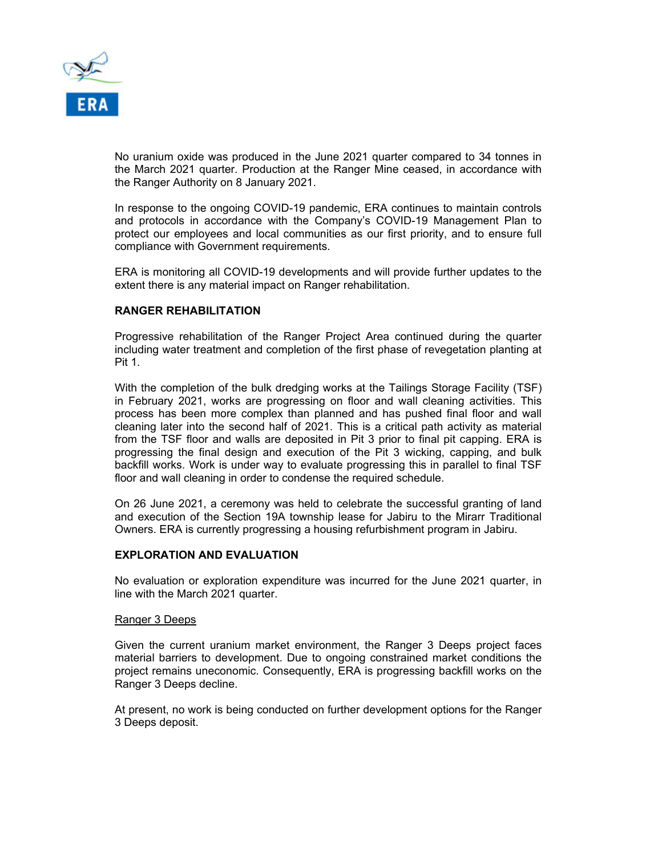

No uranium oxide was produced in the June 2021 quarter compared to 34 tonnes in the March 2021 quarter. Production at the Ranger Mine ceased, in accordance with the Ranger Authority on 8 January 2021.

In response to the ongoing COVID-19 pandemic, ERA continues to maintain controls and protocols in accordance with the Company's COVID-19 Management Plan to protect our employees and local communities as our first priority, and to ensure full compliance with Government requirements.

ERA is monitoring all COVID-19 developments and will provide further updates to the extent there is any material impact on Ranger rehabilitation.

#### **RANGER REHABILITATION**

Progressive rehabilitation of the Ranger Project Area continued during the quarter including water treatment and completion of the first phase of revegetation planting at Pit 1.

With the completion of the bulk dredging works at the Tailings Storage Facility (TSF) in February 2021, works are progressing on floor and wall cleaning activities. This process has been more complex than planned and has pushed final floor and wall cleaning later into the second half of 2021. This is a critical path activity as material from the TSF floor and walls are deposited in Pit 3 prior to final pit capping. ERA is progressing the final design and execution of the Pit 3 wicking, capping, and bulk backfill works. Work is under way to evaluate progressing this in parallel to final TSF floor and wall cleaning in order to condense the required schedule.

On 26 June 2021, a ceremony was held to celebrate the successful granting of land and execution of the Section 19A township lease for Jabiru to the Mirarr Traditional Owners. ERA is currently progressing a housing refurbishment program in Jabiru.

#### **EXPLORATION AND EVALUATION**

No evaluation or exploration expenditure was incurred for the June 2021 quarter, in line with the March 2021 quarter.

#### Ranger 3 Deeps

Given the current uranium market environment, the Ranger 3 Deeps project faces material barriers to development. Due to ongoing constrained market conditions the project remains uneconomic. Consequently, ERA is progressing backfill works on the Ranger 3 Deeps decline.

At present, no work is being conducted on further development options for the Ranger 3 Deeps deposit.